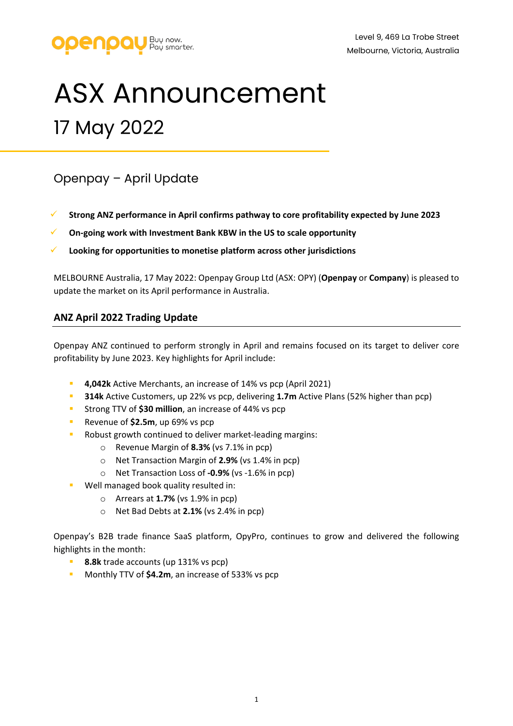

# ASX Announcement 17 May 2022

# Openpay – April Update

- **Strong ANZ performance in April confirms pathway to core profitability expected by June 2023**
- **On-going work with Investment Bank KBW in the US to scale opportunity**
- **Looking for opportunities to monetise platform across other jurisdictions**

MELBOURNE Australia, 17 May 2022: Openpay Group Ltd (ASX: OPY) (**Openpay** or **Company**) is pleased to update the market on its April performance in Australia.

### **ANZ April 2022 Trading Update**

Openpay ANZ continued to perform strongly in April and remains focused on its target to deliver core profitability by June 2023. Key highlights for April include:

- **4,042k** Active Merchants, an increase of 14% vs pcp (April 2021)
- **314k** Active Customers, up 22% vs pcp, delivering **1.7m** Active Plans (52% higher than pcp)
- Strong TTV of **\$30 million**, an increase of 44% vs pcp
- Revenue of **\$2.5m**, up 69% vs pcp
- Robust growth continued to deliver market-leading margins:
	- o Revenue Margin of **8.3%** (vs 7.1% in pcp)
	- o Net Transaction Margin of **2.9%** (vs 1.4% in pcp)
	- o Net Transaction Loss of **-0.9%** (vs -1.6% in pcp)
- Well managed book quality resulted in:
	- o Arrears at **1.7%** (vs 1.9% in pcp)
	- o Net Bad Debts at **2.1%** (vs 2.4% in pcp)

Openpay's B2B trade finance SaaS platform, OpyPro, continues to grow and delivered the following highlights in the month:

- **8.8k** trade accounts (up 131% vs pcp)
- **Monthly TTV of \$4.2m, an increase of 533% vs pcp**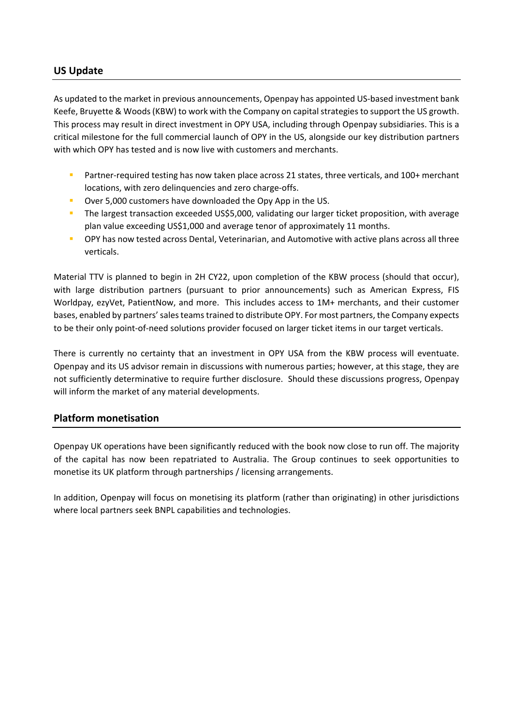## **US Update**

As updated to the market in previous announcements, Openpay has appointed US-based investment bank Keefe, Bruyette & Woods (KBW) to work with the Company on capital strategies to support the US growth. This process may result in direct investment in OPY USA, including through Openpay subsidiaries. This is a critical milestone for the full commercial launch of OPY in the US, alongside our key distribution partners with which OPY has tested and is now live with customers and merchants.

- Partner-required testing has now taken place across 21 states, three verticals, and 100+ merchant locations, with zero delinquencies and zero charge-offs.
- Over 5,000 customers have downloaded the Opy App in the US.
- The largest transaction exceeded US\$5,000, validating our larger ticket proposition, with average plan value exceeding US\$1,000 and average tenor of approximately 11 months.
- OPY has now tested across Dental, Veterinarian, and Automotive with active plans across all three verticals.

Material TTV is planned to begin in 2H CY22, upon completion of the KBW process (should that occur), with large distribution partners (pursuant to prior announcements) such as American Express, FIS Worldpay, ezyVet, PatientNow, and more. This includes access to 1M+ merchants, and their customer bases, enabled by partners' sales teams trained to distribute OPY. For most partners, the Company expects to be their only point-of-need solutions provider focused on larger ticket items in our target verticals.

There is currently no certainty that an investment in OPY USA from the KBW process will eventuate. Openpay and its US advisor remain in discussions with numerous parties; however, at this stage, they are not sufficiently determinative to require further disclosure. Should these discussions progress, Openpay will inform the market of any material developments.

### **Platform monetisation**

Openpay UK operations have been significantly reduced with the book now close to run off. The majority of the capital has now been repatriated to Australia. The Group continues to seek opportunities to monetise its UK platform through partnerships / licensing arrangements.

In addition, Openpay will focus on monetising its platform (rather than originating) in other jurisdictions where local partners seek BNPL capabilities and technologies.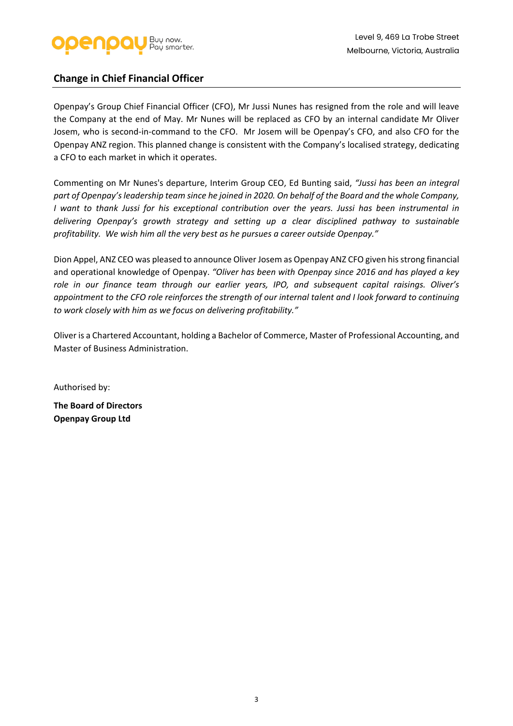

### **Change in Chief Financial Officer**

Openpay's Group Chief Financial Officer (CFO), Mr Jussi Nunes has resigned from the role and will leave the Company at the end of May. Mr Nunes will be replaced as CFO by an internal candidate Mr Oliver Josem, who is second-in-command to the CFO. Mr Josem will be Openpay's CFO, and also CFO for the Openpay ANZ region. This planned change is consistent with the Company's localised strategy, dedicating a CFO to each market in which it operates.

Commenting on Mr Nunes's departure, Interim Group CEO, Ed Bunting said, *"Jussi has been an integral part of Openpay's leadership team since he joined in 2020. On behalf of the Board and the whole Company, I want to thank Jussi for his exceptional contribution over the years. Jussi has been instrumental in delivering Openpay's growth strategy and setting up a clear disciplined pathway to sustainable profitability. We wish him all the very best as he pursues a career outside Openpay."*

Dion Appel, ANZ CEO was pleased to announce Oliver Josem as Openpay ANZ CFO given his strong financial and operational knowledge of Openpay. *"Oliver has been with Openpay since 2016 and has played a key role in our finance team through our earlier years, IPO, and subsequent capital raisings. Oliver's appointment to the CFO role reinforces the strength of our internal talent and I look forward to continuing to work closely with him as we focus on delivering profitability."* 

Oliver is a Chartered Accountant, holding a Bachelor of Commerce, Master of Professional Accounting, and Master of Business Administration.

Authorised by: **The Board of Directors Openpay Group Ltd**